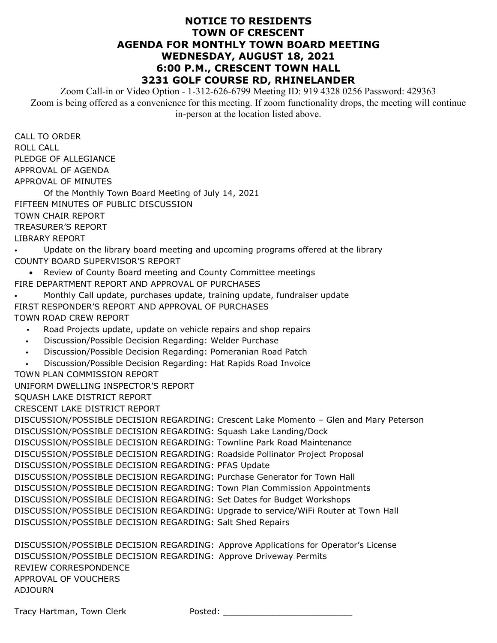## **NOTICE TO RESIDENTS TOWN OF CRESCENT AGENDA FOR MONTHLY TOWN BOARD MEETING WEDNESDAY, AUGUST 18, 2021 6:00 P.M., CRESCENT TOWN HALL 3231 GOLF COURSE RD, RHINELANDER**

Zoom Call-in or Video Option - 1-312-626-6799 Meeting ID: 919 4328 0256 Password: 429363 Zoom is being offered as a convenience for this meeting. If zoom functionality drops, the meeting will continue in-person at the location listed above.

CALL TO ORDER ROLL CALL PLEDGE OF ALLEGIANCE APPROVAL OF AGENDA APPROVAL OF MINUTES

Of the Monthly Town Board Meeting of July 14, 2021 FIFTEEN MINUTES OF PUBLIC DISCUSSION TOWN CHAIR REPORT TREASURER'S REPORT LIBRARY REPORT

• Update on the library board meeting and upcoming programs offered at the library COUNTY BOARD SUPERVISOR'S REPORT

- Review of County Board meeting and County Committee meetings FIRE DEPARTMENT REPORT AND APPROVAL OF PURCHASES
- Monthly Call update, purchases update, training update, fundraiser update FIRST RESPONDER'S REPORT AND APPROVAL OF PURCHASES TOWN ROAD CREW REPORT
	- Road Projects update, update on vehicle repairs and shop repairs
	- Discussion/Possible Decision Regarding: Welder Purchase
	- Discussion/Possible Decision Regarding: Pomeranian Road Patch
	- Discussion/Possible Decision Regarding: Hat Rapids Road Invoice
- TOWN PLAN COMMISSION REPORT

UNIFORM DWELLING INSPECTOR'S REPORT

SQUASH LAKE DISTRICT REPORT

CRESCENT LAKE DISTRICT REPORT

DISCUSSION/POSSIBLE DECISION REGARDING: Crescent Lake Momento – Glen and Mary Peterson DISCUSSION/POSSIBLE DECISION REGARDING: Squash Lake Landing/Dock DISCUSSION/POSSIBLE DECISION REGARDING: Townline Park Road Maintenance DISCUSSION/POSSIBLE DECISION REGARDING: Roadside Pollinator Project Proposal DISCUSSION/POSSIBLE DECISION REGARDING: PFAS Update DISCUSSION/POSSIBLE DECISION REGARDING: Purchase Generator for Town Hall DISCUSSION/POSSIBLE DECISION REGARDING: Town Plan Commission Appointments DISCUSSION/POSSIBLE DECISION REGARDING: Set Dates for Budget Workshops DISCUSSION/POSSIBLE DECISION REGARDING: Upgrade to service/WiFi Router at Town Hall DISCUSSION/POSSIBLE DECISION REGARDING: Salt Shed Repairs

DISCUSSION/POSSIBLE DECISION REGARDING: Approve Applications for Operator's License DISCUSSION/POSSIBLE DECISION REGARDING: Approve Driveway Permits REVIEW CORRESPONDENCE APPROVAL OF VOUCHERS ADJOURN

Tracy Hartman, Town Clerk Posted: 2008. 2008. 2014. 2014. 2015. 2016. 2017. 2018. 2019. 2017. 2018. 2019. 201